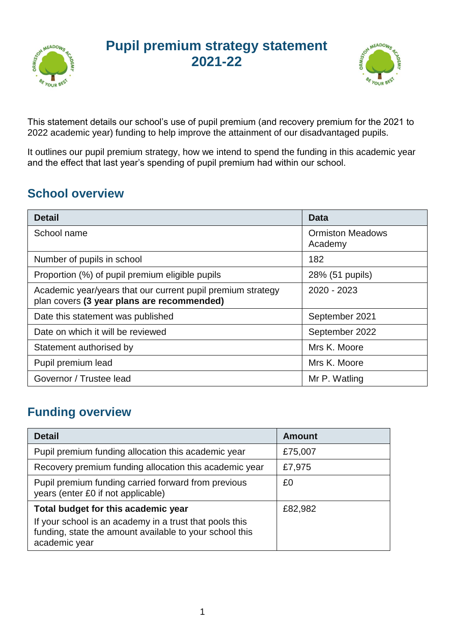

## **Pupil premium strategy statement 2021-22**



This statement details our school's use of pupil premium (and recovery premium for the 2021 to 2022 academic year) funding to help improve the attainment of our disadvantaged pupils.

It outlines our pupil premium strategy, how we intend to spend the funding in this academic year and the effect that last year's spending of pupil premium had within our school.

### **School overview**

| <b>Detail</b>                                                                                             | Data                               |
|-----------------------------------------------------------------------------------------------------------|------------------------------------|
| School name                                                                                               | <b>Ormiston Meadows</b><br>Academy |
| Number of pupils in school                                                                                | 182                                |
| Proportion (%) of pupil premium eligible pupils                                                           | 28% (51 pupils)                    |
| Academic year/years that our current pupil premium strategy<br>plan covers (3 year plans are recommended) | 2020 - 2023                        |
| Date this statement was published                                                                         | September 2021                     |
| Date on which it will be reviewed                                                                         | September 2022                     |
| Statement authorised by                                                                                   | Mrs K. Moore                       |
| Pupil premium lead                                                                                        | Mrs K. Moore                       |
| Governor / Trustee lead                                                                                   | Mr P. Watling                      |

## **Funding overview**

| <b>Detail</b>                                                                                                                       | <b>Amount</b> |
|-------------------------------------------------------------------------------------------------------------------------------------|---------------|
| Pupil premium funding allocation this academic year                                                                                 | £75,007       |
| Recovery premium funding allocation this academic year                                                                              | £7,975        |
| Pupil premium funding carried forward from previous<br>years (enter £0 if not applicable)                                           | £0            |
| Total budget for this academic year                                                                                                 | £82,982       |
| If your school is an academy in a trust that pools this<br>funding, state the amount available to your school this<br>academic year |               |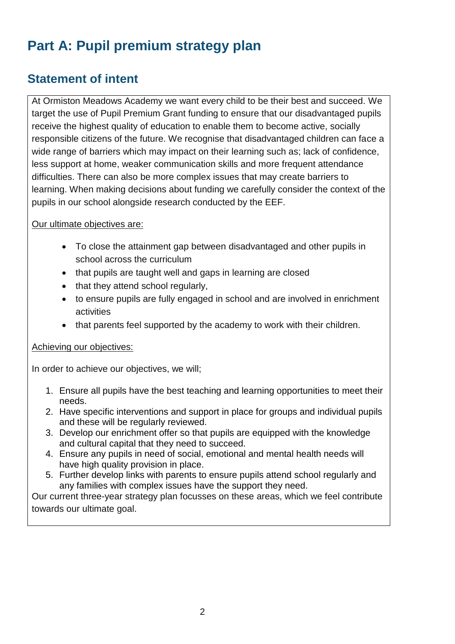# **Part A: Pupil premium strategy plan**

### **Statement of intent**

At Ormiston Meadows Academy we want every child to be their best and succeed. We target the use of Pupil Premium Grant funding to ensure that our disadvantaged pupils receive the highest quality of education to enable them to become active, socially responsible citizens of the future. We recognise that disadvantaged children can face a wide range of barriers which may impact on their learning such as; lack of confidence, less support at home, weaker communication skills and more frequent attendance difficulties. There can also be more complex issues that may create barriers to learning. When making decisions about funding we carefully consider the context of the pupils in our school alongside research conducted by the EEF.

#### Our ultimate objectives are:

- To close the attainment gap between disadvantaged and other pupils in school across the curriculum
- that pupils are taught well and gaps in learning are closed
- that they attend school regularly,
- to ensure pupils are fully engaged in school and are involved in enrichment activities
- that parents feel supported by the academy to work with their children.

#### Achieving our objectives:

In order to achieve our objectives, we will;

- 1. Ensure all pupils have the best teaching and learning opportunities to meet their needs.
- 2. Have specific interventions and support in place for groups and individual pupils and these will be regularly reviewed.
- 3. Develop our enrichment offer so that pupils are equipped with the knowledge and cultural capital that they need to succeed.
- 4. Ensure any pupils in need of social, emotional and mental health needs will have high quality provision in place.
- 5. Further develop links with parents to ensure pupils attend school regularly and any families with complex issues have the support they need.

Our current three-year strategy plan focusses on these areas, which we feel contribute towards our ultimate goal.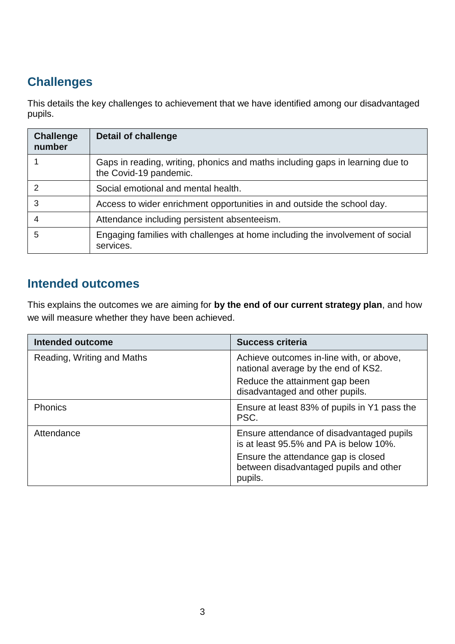## **Challenges**

This details the key challenges to achievement that we have identified among our disadvantaged pupils.

| <b>Challenge</b><br>number | <b>Detail of challenge</b>                                                                              |
|----------------------------|---------------------------------------------------------------------------------------------------------|
|                            | Gaps in reading, writing, phonics and maths including gaps in learning due to<br>the Covid-19 pandemic. |
| 2                          | Social emotional and mental health.                                                                     |
| 3                          | Access to wider enrichment opportunities in and outside the school day.                                 |
| 4                          | Attendance including persistent absenteeism.                                                            |
| 5                          | Engaging families with challenges at home including the involvement of social<br>services.              |

### **Intended outcomes**

This explains the outcomes we are aiming for **by the end of our current strategy plan**, and how we will measure whether they have been achieved.

| Intended outcome           | <b>Success criteria</b>                                                                  |
|----------------------------|------------------------------------------------------------------------------------------|
| Reading, Writing and Maths | Achieve outcomes in-line with, or above,<br>national average by the end of KS2.          |
|                            | Reduce the attainment gap been<br>disadvantaged and other pupils.                        |
| Phonics                    | Ensure at least 83% of pupils in Y1 pass the<br>PSC.                                     |
| Attendance                 | Ensure attendance of disadvantaged pupils<br>is at least 95.5% and PA is below 10%.      |
|                            | Ensure the attendance gap is closed<br>between disadvantaged pupils and other<br>pupils. |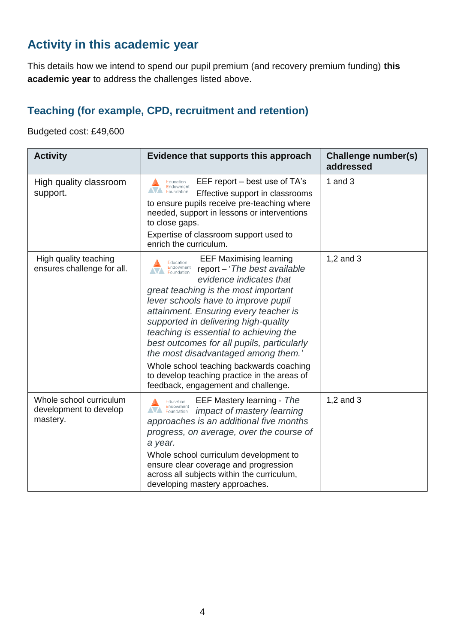### **Activity in this academic year**

This details how we intend to spend our pupil premium (and recovery premium funding) **this academic year** to address the challenges listed above.

#### **Teaching (for example, CPD, recruitment and retention)**

Budgeted cost: £49,600

| <b>Activity</b>                                               | Evidence that supports this approach                                                                                                                                                                                                                                                                                                                                                                                                                                                                                                                                | Challenge number(s)<br>addressed |
|---------------------------------------------------------------|---------------------------------------------------------------------------------------------------------------------------------------------------------------------------------------------------------------------------------------------------------------------------------------------------------------------------------------------------------------------------------------------------------------------------------------------------------------------------------------------------------------------------------------------------------------------|----------------------------------|
| High quality classroom<br>support.                            | EEF report – best use of TA's<br>Education<br>Endowment<br>N <sub>foundation</sub><br>Effective support in classrooms<br>to ensure pupils receive pre-teaching where<br>needed, support in lessons or interventions<br>to close gaps.<br>Expertise of classroom support used to<br>enrich the curriculum.                                                                                                                                                                                                                                                           | 1 and $3$                        |
| High quality teaching<br>ensures challenge for all.           | <b>EEF Maximising learning</b><br>Education<br>Endowment<br>Foundation<br>report – 'The best available<br>evidence indicates that<br>great teaching is the most important<br>lever schools have to improve pupil<br>attainment. Ensuring every teacher is<br>supported in delivering high-quality<br>teaching is essential to achieving the<br>best outcomes for all pupils, particularly<br>the most disadvantaged among them.'<br>Whole school teaching backwards coaching<br>to develop teaching practice in the areas of<br>feedback, engagement and challenge. | 1,2 and 3                        |
| Whole school curriculum<br>development to develop<br>mastery. | EEF Mastery learning - The<br>Education<br>Endowment<br>Foundation<br>impact of mastery learning<br>approaches is an additional five months<br>progress, on average, over the course of<br>a year.<br>Whole school curriculum development to<br>ensure clear coverage and progression<br>across all subjects within the curriculum,<br>developing mastery approaches.                                                                                                                                                                                               | 1,2 and 3                        |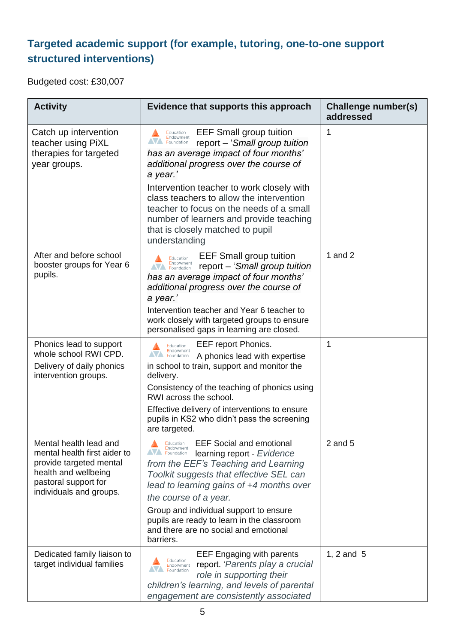### **Targeted academic support (for example, tutoring, one-to-one support structured interventions)**

Budgeted cost: £30,007

| <b>Activity</b>                                                                                                                                              | Evidence that supports this approach                                                                                                                                                                                                                                                                                                                                                                                          | Challenge number(s)<br>addressed |
|--------------------------------------------------------------------------------------------------------------------------------------------------------------|-------------------------------------------------------------------------------------------------------------------------------------------------------------------------------------------------------------------------------------------------------------------------------------------------------------------------------------------------------------------------------------------------------------------------------|----------------------------------|
| Catch up intervention<br>teacher using PiXL<br>therapies for targeted<br>year groups.                                                                        | <b>EEF Small group tuition</b><br>Education<br>Endowment<br>report - 'Small group tuition<br>has an average impact of four months'<br>additional progress over the course of<br>a year.'<br>Intervention teacher to work closely with<br>class teachers to allow the intervention<br>teacher to focus on the needs of a small<br>number of learners and provide teaching<br>that is closely matched to pupil<br>understanding | 1                                |
| After and before school<br>booster groups for Year 6<br>pupils.                                                                                              | <b>EEF Small group tuition</b><br>Education<br>Endowment<br>report - 'Small group tuition<br>has an average impact of four months'<br>additional progress over the course of<br>a year.'<br>Intervention teacher and Year 6 teacher to<br>work closely with targeted groups to ensure<br>personalised gaps in learning are closed.                                                                                            | 1 and $2$                        |
| Phonics lead to support<br>whole school RWI CPD.<br>Delivery of daily phonics<br>intervention groups.                                                        | EEF report Phonics.<br>Education<br>Endowment<br><b>NA</b> Foundation<br>A phonics lead with expertise<br>in school to train, support and monitor the<br>delivery.<br>Consistency of the teaching of phonics using<br>RWI across the school.<br>Effective delivery of interventions to ensure<br>pupils in KS2 who didn't pass the screening<br>are targeted.                                                                 | 1                                |
| Mental health lead and<br>mental health first aider to<br>provide targeted mental<br>health and wellbeing<br>pastoral support for<br>individuals and groups. | <b>EEF Social and emotional</b><br>Education<br>Endowment<br><b>NA</b> Foundation<br>learning report - Evidence<br>from the EEF's Teaching and Learning<br>Toolkit suggests that effective SEL can<br>lead to learning gains of +4 months over<br>the course of a year.<br>Group and individual support to ensure<br>pupils are ready to learn in the classroom<br>and there are no social and emotional<br>barriers.         | $2$ and $5$                      |
| Dedicated family liaison to<br>target individual families                                                                                                    | <b>EEF Engaging with parents</b><br>Education<br>report. 'Parents play a crucial<br>Endowment<br>Foundation<br>role in supporting their<br>children's learning, and levels of parental<br>engagement are consistently associated                                                                                                                                                                                              | 1, 2 and 5                       |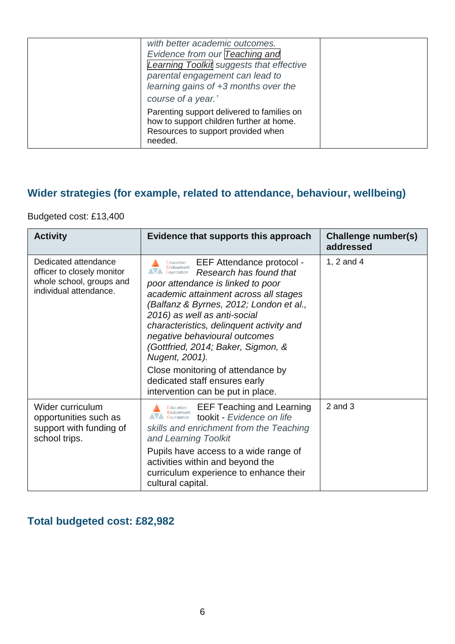| with better academic outcomes.<br>Evidence from our Teaching and<br><b>Learning Toolkit suggests that effective</b><br>parental engagement can lead to<br>learning gains of +3 months over the<br>course of a year.' |  |
|----------------------------------------------------------------------------------------------------------------------------------------------------------------------------------------------------------------------|--|
| Parenting support delivered to families on<br>how to support children further at home.<br>Resources to support provided when<br>needed.                                                                              |  |

### **Wider strategies (for example, related to attendance, behaviour, wellbeing)**

Budgeted cost: £13,400

| <b>Activity</b>                                                                                          | Evidence that supports this approach                                                                                                                                                                                                                                                                                                                                                                                                                                                                  | Challenge number(s)<br>addressed |
|----------------------------------------------------------------------------------------------------------|-------------------------------------------------------------------------------------------------------------------------------------------------------------------------------------------------------------------------------------------------------------------------------------------------------------------------------------------------------------------------------------------------------------------------------------------------------------------------------------------------------|----------------------------------|
| Dedicated attendance<br>officer to closely monitor<br>whole school, groups and<br>individual attendance. | EEF Attendance protocol -<br>Education<br>Endowment<br>Foundation<br>Research has found that<br>poor attendance is linked to poor<br>academic attainment across all stages<br>(Balfanz & Byrnes, 2012; London et al.,<br>2016) as well as anti-social<br>characteristics, delinquent activity and<br>negative behavioural outcomes<br>(Gottfried, 2014; Baker, Sigmon, &<br>Nugent, 2001).<br>Close monitoring of attendance by<br>dedicated staff ensures early<br>intervention can be put in place. | 1, 2 and 4                       |
| Wider curriculum<br>opportunities such as<br>support with funding of<br>school trips.                    | <b>EEF Teaching and Learning</b><br>Education<br>Endowment<br><b>NV</b> Foundation<br>tookit - Evidence on life<br>skills and enrichment from the Teaching<br>and Learning Toolkit                                                                                                                                                                                                                                                                                                                    | $2$ and $3$                      |
|                                                                                                          | Pupils have access to a wide range of<br>activities within and beyond the<br>curriculum experience to enhance their<br>cultural capital.                                                                                                                                                                                                                                                                                                                                                              |                                  |

### **Total budgeted cost: £82,982**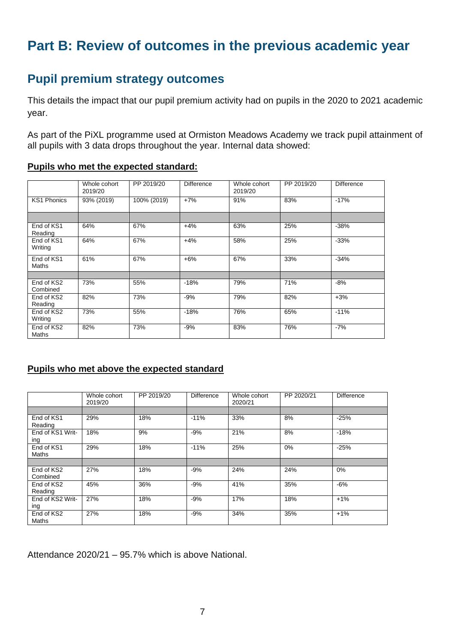## **Part B: Review of outcomes in the previous academic year**

### **Pupil premium strategy outcomes**

This details the impact that our pupil premium activity had on pupils in the 2020 to 2021 academic year.

As part of the PiXL programme used at Ormiston Meadows Academy we track pupil attainment of all pupils with 3 data drops throughout the year. Internal data showed:

| Pupils who met the expected standard: |
|---------------------------------------|
|---------------------------------------|

|                            | Whole cohort<br>2019/20 | PP 2019/20  | Difference | Whole cohort<br>2019/20 | PP 2019/20 | <b>Difference</b> |
|----------------------------|-------------------------|-------------|------------|-------------------------|------------|-------------------|
| <b>KS1 Phonics</b>         | 93% (2019)              | 100% (2019) | $+7%$      | 91%                     | 83%        | $-17%$            |
|                            |                         |             |            |                         |            |                   |
| End of KS1<br>Reading      | 64%                     | 67%         | $+4%$      | 63%                     | 25%        | $-38%$            |
| End of KS1<br>Writing      | 64%                     | 67%         | $+4%$      | 58%                     | 25%        | $-33%$            |
| End of KS1<br><b>Maths</b> | 61%                     | 67%         | $+6%$      | 67%                     | 33%        | $-34%$            |
|                            |                         |             |            |                         |            |                   |
| End of KS2<br>Combined     | 73%                     | 55%         | $-18%$     | 79%                     | 71%        | $-8%$             |
| End of KS2<br>Reading      | 82%                     | 73%         | $-9%$      | 79%                     | 82%        | $+3%$             |
| End of KS2<br>Writing      | 73%                     | 55%         | $-18%$     | 76%                     | 65%        | $-11%$            |
| End of KS2<br><b>Maths</b> | 82%                     | 73%         | $-9%$      | 83%                     | 76%        | $-7%$             |

#### **Pupils who met above the expected standard**

|                            | Whole cohort<br>2019/20 | PP 2019/20 | Difference | Whole cohort<br>2020/21 | PP 2020/21 | <b>Difference</b> |
|----------------------------|-------------------------|------------|------------|-------------------------|------------|-------------------|
|                            |                         |            |            |                         |            |                   |
| End of KS1<br>Reading      | 29%                     | 18%        | $-11%$     | 33%                     | 8%         | $-25%$            |
| End of KS1 Writ-<br>ing    | 18%                     | 9%         | $-9%$      | 21%                     | 8%         | $-18%$            |
| End of KS1<br><b>Maths</b> | 29%                     | 18%        | $-11%$     | 25%                     | 0%         | $-25%$            |
|                            |                         |            |            |                         |            |                   |
| End of KS2<br>Combined     | 27%                     | 18%        | $-9%$      | 24%                     | 24%        | 0%                |
| End of KS2<br>Reading      | 45%                     | 36%        | $-9%$      | 41%                     | 35%        | $-6%$             |
| End of KS2 Writ-<br>ing    | 27%                     | 18%        | $-9%$      | 17%                     | 18%        | $+1%$             |
| End of KS2<br>Maths        | 27%                     | 18%        | $-9%$      | 34%                     | 35%        | $+1%$             |

Attendance 2020/21 – 95.7% which is above National.